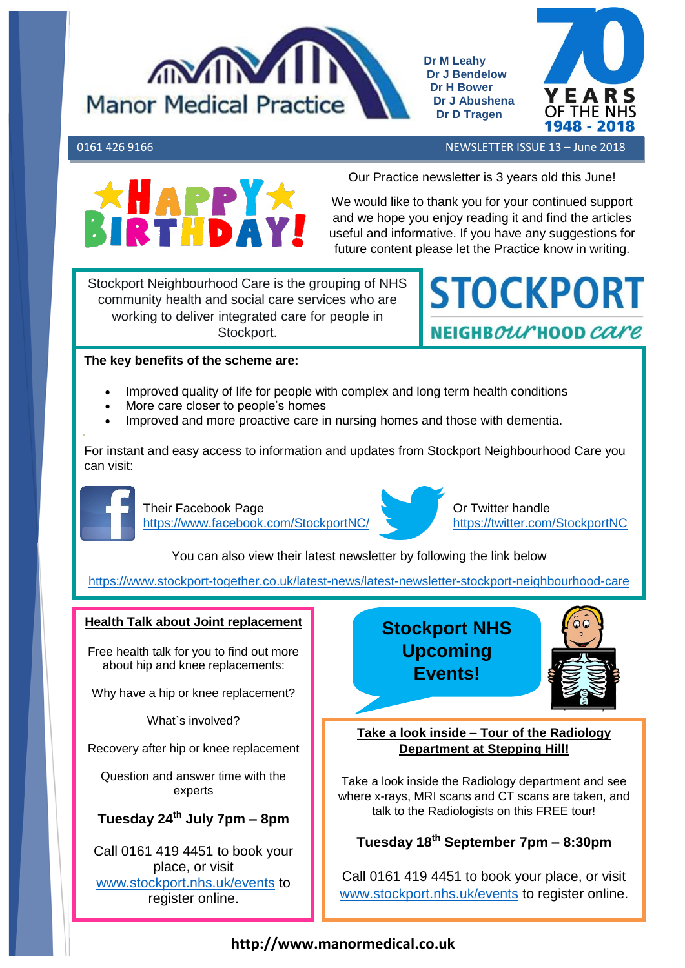

**Dr M Leahy Dr J Bendelow Dr H Bower Dr J Abushena Dr D Tragen**



0161 426 9166 NEWSLETTER ISSUE 13 – June 2018



Our Practice newsletter is 3 years old this June!

We would like to thank you for your continued support and we hope you enjoy reading it and find the articles useful and informative. If you have any suggestions for future content please let the Practice know in writing.

Stockport Neighbourhood Care is the grouping of NHS community health and social care services who are working to deliver integrated care for people in Stockport.

**STOCKPORT** NEIGHB*our* HOOD *care* 

# **The key benefits of the scheme are:**

- Improved quality of life for people with complex and long term health conditions
- More care closer to people's homes
- Improved and more proactive care in nursing homes and those with dementia.

For instant and easy access to information and updates from Stockport Neighbourhood Care you can visit:



Their Facebook Page <https://www.facebook.com/StockportNC/>



Or Twitter handle <https://twitter.com/StockportNC>

You can also view their latest newsletter by following the link below

<https://www.stockport-together.co.uk/latest-news/latest-newsletter-stockport-neighbourhood-care>

### **Health Talk about Joint replacement**

Free health talk for you to find out more about hip and knee replacements:

Why have a hip or knee replacement?

What`s involved?

Recovery after hip or knee replacement

Question and answer time with the experts

# **Tuesday 24th July 7pm – 8pm**

Call 0161 419 4451 to book your place, or visit [www.stockport.nhs.uk/events](http://www.stockport.nhs.uk/events) to register online.

# **Stockport NHS Upcoming Events!**



**Take a look inside – Tour of the Radiology Department at Stepping Hill!**

Take a look inside the Radiology department and see where x-rays, MRI scans and CT scans are taken, and talk to the Radiologists on this FREE tour!

# **Tuesday 18th September 7pm – 8:30pm**

Call 0161 419 4451 to book your place, or visit [www.stockport.nhs.uk/events](http://www.stockport.nhs.uk/events) to register online.

## **http://www.manormedical.co.uk**